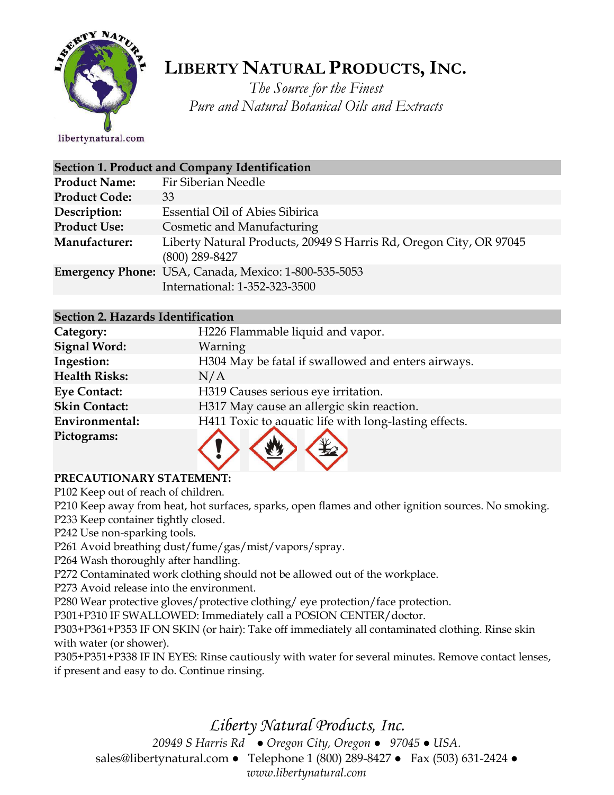

# **LIBERTY NATURAL PRODUCTS,INC.**

*The Source for the Finest Pure and Natural Botanical Oils and Extracts*

libertynatural.com

| Section 1. Product and Company Identification |                                                                                        |  |
|-----------------------------------------------|----------------------------------------------------------------------------------------|--|
| <b>Product Name:</b>                          | Fir Siberian Needle                                                                    |  |
| <b>Product Code:</b>                          | 33                                                                                     |  |
| Description:                                  | <b>Essential Oil of Abies Sibirica</b>                                                 |  |
| <b>Product Use:</b>                           | Cosmetic and Manufacturing                                                             |  |
| Manufacturer:                                 | Liberty Natural Products, 20949 S Harris Rd, Oregon City, OR 97045<br>$(800)$ 289-8427 |  |
|                                               | Emergency Phone: USA, Canada, Mexico: 1-800-535-5053<br>International: 1-352-323-3500  |  |

### **Section 2. Hazards Identification**

| Category:            | H226 Flammable liquid and vapor.                      |
|----------------------|-------------------------------------------------------|
| <b>Signal Word:</b>  | Warning                                               |
| Ingestion:           | H304 May be fatal if swallowed and enters airways.    |
| <b>Health Risks:</b> | N/A                                                   |
| <b>Eye Contact:</b>  | H319 Causes serious eye irritation.                   |
| <b>Skin Contact:</b> | H317 May cause an allergic skin reaction.             |
| Environmental:       | H411 Toxic to aquatic life with long-lasting effects. |
| Pictograms:          |                                                       |

# **PRECAUTIONARY STATEMENT:**

P102 Keep out of reach of children.

P210 Keep away from heat, hot surfaces, sparks, open flames and other ignition sources. No smoking. P233 Keep container tightly closed.

P242 Use non-sparking tools.

P261 Avoid breathing dust/fume/gas/mist/vapors/spray.

P264 Wash thoroughly after handling.

P272 Contaminated work clothing should not be allowed out of the workplace.

P273 Avoid release into the environment.

P280 Wear protective gloves/protective clothing/ eye protection/face protection.

P301+P310 IF SWALLOWED: Immediately call a POSION CENTER/doctor.

P303+P361+P353 IF ON SKIN (or hair): Take off immediately all contaminated clothing. Rinse skin with water (or shower).

P305+P351+P338 IF IN EYES: Rinse cautiously with water for several minutes. Remove contact lenses, if present and easy to do. Continue rinsing.

*Liberty Natural Products, Inc.* 

*20949 S Harris Rd ● Oregon City, Oregon ● 97045 ● USA.*  sales@libertynatural.com *●* Telephone 1 (800) 289-8427 ● Fax (503) 631-2424 *● www.libertynatural.com*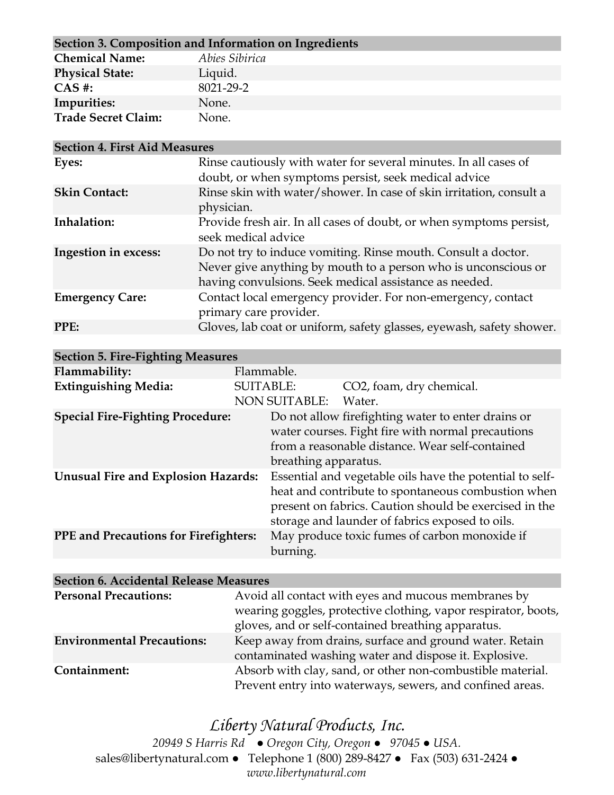| Section 3. Composition and Information on Ingredients |                |  |
|-------------------------------------------------------|----------------|--|
| <b>Chemical Name:</b>                                 | Abies Sibirica |  |
| <b>Physical State:</b>                                | Liquid.        |  |
| $CAS$ #:                                              | 8021-29-2      |  |
| Impurities:                                           | None.          |  |
| <b>Trade Secret Claim:</b>                            | None.          |  |

| <b>Section 4. First Aid Measures</b> |                                                                                                                                                                                           |  |
|--------------------------------------|-------------------------------------------------------------------------------------------------------------------------------------------------------------------------------------------|--|
| Eyes:                                | Rinse cautiously with water for several minutes. In all cases of<br>doubt, or when symptoms persist, seek medical advice                                                                  |  |
| <b>Skin Contact:</b>                 | Rinse skin with water/shower. In case of skin irritation, consult a<br>physician.                                                                                                         |  |
| Inhalation:                          | Provide fresh air. In all cases of doubt, or when symptoms persist,<br>seek medical advice                                                                                                |  |
| Ingestion in excess:                 | Do not try to induce vomiting. Rinse mouth. Consult a doctor.<br>Never give anything by mouth to a person who is unconscious or<br>having convulsions. Seek medical assistance as needed. |  |
| <b>Emergency Care:</b>               | Contact local emergency provider. For non-emergency, contact<br>primary care provider.                                                                                                    |  |
| PPE:                                 | Gloves, lab coat or uniform, safety glasses, eyewash, safety shower.                                                                                                                      |  |

| <b>Section 5. Fire-Fighting Measures</b>     |                      |                                                          |
|----------------------------------------------|----------------------|----------------------------------------------------------|
| Flammability:                                | Flammable.           |                                                          |
| <b>Extinguishing Media:</b>                  | <b>SUITABLE:</b>     | CO2, foam, dry chemical.                                 |
|                                              | <b>NON SUITABLE:</b> | Water.                                                   |
| <b>Special Fire-Fighting Procedure:</b>      |                      | Do not allow firefighting water to enter drains or       |
|                                              |                      | water courses. Fight fire with normal precautions        |
|                                              |                      | from a reasonable distance. Wear self-contained          |
|                                              | breathing apparatus. |                                                          |
| <b>Unusual Fire and Explosion Hazards:</b>   |                      | Essential and vegetable oils have the potential to self- |
|                                              |                      | heat and contribute to spontaneous combustion when       |
|                                              |                      | present on fabrics. Caution should be exercised in the   |
|                                              |                      | storage and launder of fabrics exposed to oils.          |
| <b>PPE</b> and Precautions for Firefighters: |                      | May produce toxic fumes of carbon monoxide if            |
|                                              | burning.             |                                                          |

# **Section 6. Accidental Release Measures**

| <b>Personal Precautions:</b>      | Avoid all contact with eyes and mucous membranes by            |  |
|-----------------------------------|----------------------------------------------------------------|--|
|                                   | wearing goggles, protective clothing, vapor respirator, boots, |  |
|                                   | gloves, and or self-contained breathing apparatus.             |  |
| <b>Environmental Precautions:</b> | Keep away from drains, surface and ground water. Retain        |  |
|                                   | contaminated washing water and dispose it. Explosive.          |  |
| Containment:                      | Absorb with clay, sand, or other non-combustible material.     |  |
|                                   | Prevent entry into waterways, sewers, and confined areas.      |  |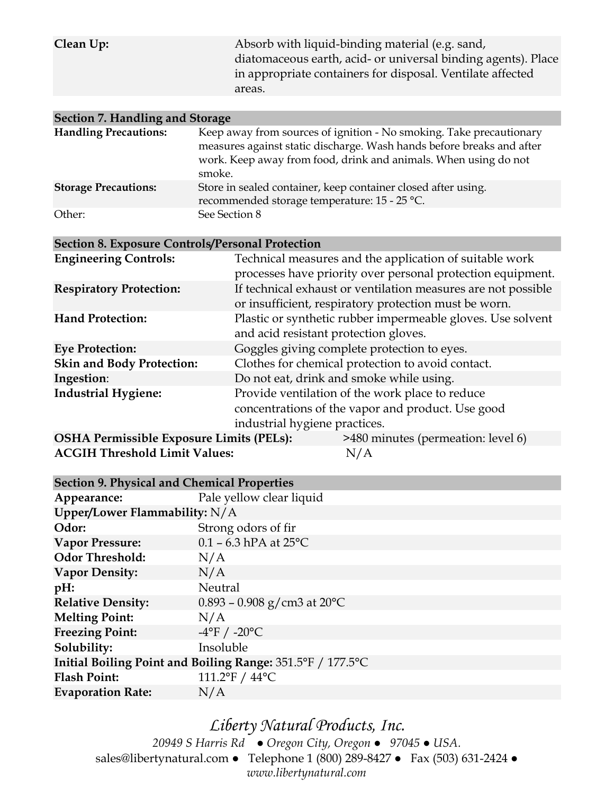**Clean Up:** Absorb with liquid-binding material (e.g. sand, diatomaceous earth, acid- or universal binding agents). Place in appropriate containers for disposal. Ventilate affected areas.

| Section 7. Handling and Storage                         |                                                                                                                                                                                                                           |  |
|---------------------------------------------------------|---------------------------------------------------------------------------------------------------------------------------------------------------------------------------------------------------------------------------|--|
| <b>Handling Precautions:</b>                            | Keep away from sources of ignition - No smoking. Take precautionary<br>measures against static discharge. Wash hands before breaks and after<br>work. Keep away from food, drink and animals. When using do not<br>smoke. |  |
| <b>Storage Precautions:</b>                             | Store in sealed container, keep container closed after using.<br>recommended storage temperature: 15 - 25 °C.                                                                                                             |  |
| Other:                                                  | See Section 8                                                                                                                                                                                                             |  |
| <b>Section 8. Exposure Controls/Personal Protection</b> |                                                                                                                                                                                                                           |  |
| <b>Engineering Controls:</b>                            | Technical measures and the application of suitable work<br>processes have priority over personal protection equipment.                                                                                                    |  |
| <b>Respiratory Protection:</b>                          | If technical exhaust or ventilation measures are not possible<br>or insufficient, respiratory protection must be worn.                                                                                                    |  |
| <b>Hand Protection:</b>                                 | Plastic or synthetic rubber impermeable gloves. Use solvent<br>and acid resistant protection gloves.                                                                                                                      |  |
| <b>Eye Protection:</b>                                  | Goggles giving complete protection to eyes.                                                                                                                                                                               |  |
| <b>Skin and Body Protection:</b>                        | Clothes for chemical protection to avoid contact.                                                                                                                                                                         |  |
| Ingestion:                                              | Do not eat, drink and smoke while using.                                                                                                                                                                                  |  |
| <b>Industrial Hygiene:</b>                              | Provide ventilation of the work place to reduce<br>concentrations of the vapor and product. Use good<br>industrial hygiene practices.                                                                                     |  |

**OSHA Permissible Exposure Limits (PELs):** >480 minutes (permeation: level 6) **ACGIH Threshold Limit Values:** N/A

| <b>Section 9. Physical and Chemical Properties</b>         |                                  |  |
|------------------------------------------------------------|----------------------------------|--|
| Appearance:                                                | Pale yellow clear liquid         |  |
| Upper/Lower Flammability: N/A                              |                                  |  |
| Odor:                                                      | Strong odors of fir              |  |
| <b>Vapor Pressure:</b>                                     | $0.1 - 6.3$ hPA at 25°C          |  |
| <b>Odor Threshold:</b>                                     | N/A                              |  |
| <b>Vapor Density:</b>                                      | N/A                              |  |
| $pH$ :                                                     | Neutral                          |  |
| <b>Relative Density:</b>                                   | $0.893 - 0.908$ g/cm3 at 20°C    |  |
| <b>Melting Point:</b>                                      | N/A                              |  |
| <b>Freezing Point:</b>                                     | $-4^{\circ}$ F / $-20^{\circ}$ C |  |
| Solubility:                                                | Insoluble                        |  |
| Initial Boiling Point and Boiling Range: 351.5°F / 177.5°C |                                  |  |
| <b>Flash Point:</b>                                        | 111.2°F / 44°C                   |  |
| <b>Evaporation Rate:</b>                                   | N/A                              |  |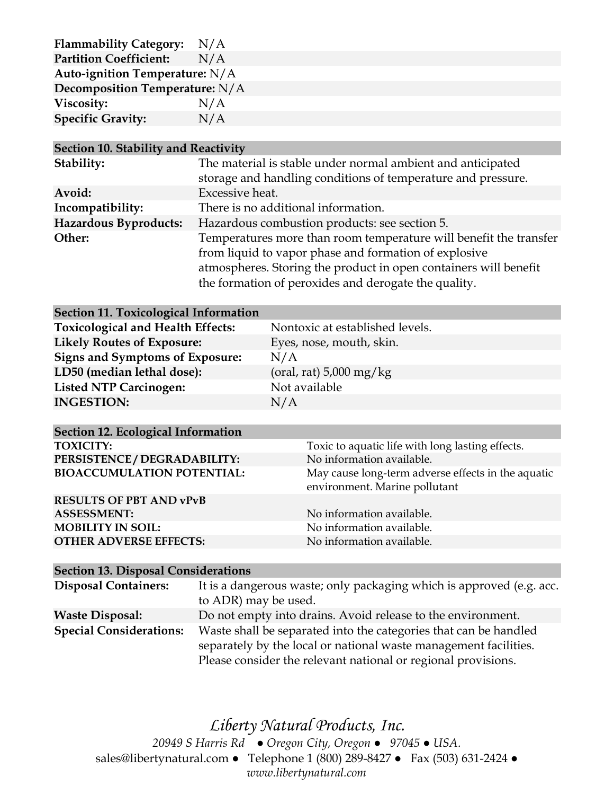| <b>Flammability Category:</b>  | N/A |  |
|--------------------------------|-----|--|
| <b>Partition Coefficient:</b>  | N/A |  |
| Auto-ignition Temperature: N/A |     |  |
| Decomposition Temperature: N/A |     |  |
| Viscosity:                     | N/A |  |
| <b>Specific Gravity:</b>       | N/A |  |

#### **Section 10. Stability and Reactivity**

| Stability:            | The material is stable under normal ambient and anticipated       |
|-----------------------|-------------------------------------------------------------------|
|                       | storage and handling conditions of temperature and pressure.      |
| Avoid:                | Excessive heat.                                                   |
| Incompatibility:      | There is no additional information.                               |
| Hazardous Byproducts: | Hazardous combustion products: see section 5.                     |
| Other:                | Temperatures more than room temperature will benefit the transfer |
|                       | from liquid to vapor phase and formation of explosive             |
|                       | atmospheres. Storing the product in open containers will benefit  |
|                       | the formation of peroxides and derogate the quality.              |
|                       |                                                                   |

| Section 11. Toxicological Information    |                                      |
|------------------------------------------|--------------------------------------|
| <b>Toxicological and Health Effects:</b> | Nontoxic at established levels.      |
| <b>Likely Routes of Exposure:</b>        | Eyes, nose, mouth, skin.             |
| Signs and Symptoms of Exposure:          | N/A                                  |
| LD50 (median lethal dose):               | (oral, rat) $5,000 \,\mathrm{mg/kg}$ |
| <b>Listed NTP Carcinogen:</b>            | Not available                        |
| <b>INGESTION:</b>                        | N/A                                  |

| <b>Section 12. Ecological Information</b> |                                                                                     |
|-------------------------------------------|-------------------------------------------------------------------------------------|
| <b>TOXICITY:</b>                          | Toxic to aquatic life with long lasting effects.                                    |
| PERSISTENCE / DEGRADABILITY:              | No information available.                                                           |
| <b>BIOACCUMULATION POTENTIAL:</b>         | May cause long-term adverse effects in the aquatic<br>environment. Marine pollutant |
| <b>RESULTS OF PBT AND vPvB</b>            |                                                                                     |
| <b>ASSESSMENT:</b>                        | No information available.                                                           |
| <b>MOBILITY IN SOIL:</b>                  | No information available.                                                           |
| <b>OTHER ADVERSE EFFECTS:</b>             | No information available.                                                           |
|                                           |                                                                                     |

# **Section 13. Disposal Considerations**

| <b>Disposal Containers:</b>    | It is a dangerous waste; only packaging which is approved (e.g. acc. |  |
|--------------------------------|----------------------------------------------------------------------|--|
|                                | to ADR) may be used.                                                 |  |
| <b>Waste Disposal:</b>         | Do not empty into drains. Avoid release to the environment.          |  |
| <b>Special Considerations:</b> | Waste shall be separated into the categories that can be handled     |  |
|                                | separately by the local or national waste management facilities.     |  |
|                                | Please consider the relevant national or regional provisions.        |  |